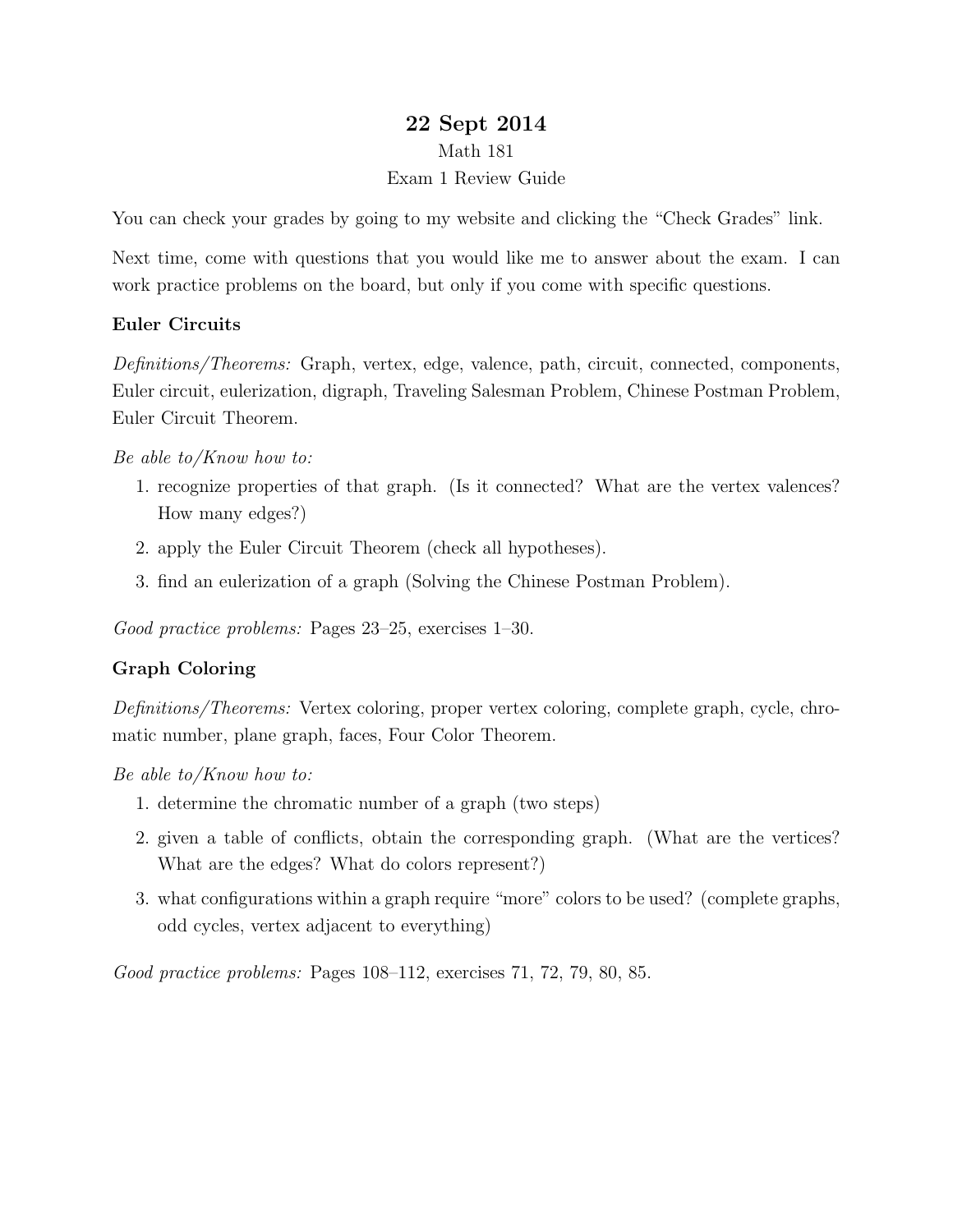# 22 Sept 2014 Math 181 Exam 1 Review Guide

You can check your grades by going to my website and clicking the "Check Grades" link.

Next time, come with questions that you would like me to answer about the exam. I can work practice problems on the board, but only if you come with specific questions.

## Euler Circuits

Definitions/Theorems: Graph, vertex, edge, valence, path, circuit, connected, components, Euler circuit, eulerization, digraph, Traveling Salesman Problem, Chinese Postman Problem, Euler Circuit Theorem.

### Be able to/Know how to:

- 1. recognize properties of that graph. (Is it connected? What are the vertex valences? How many edges?)
- 2. apply the Euler Circuit Theorem (check all hypotheses).
- 3. find an eulerization of a graph (Solving the Chinese Postman Problem).

Good practice problems: Pages 23–25, exercises 1–30.

## Graph Coloring

Definitions/Theorems: Vertex coloring, proper vertex coloring, complete graph, cycle, chromatic number, plane graph, faces, Four Color Theorem.

Be able to/Know how to:

- 1. determine the chromatic number of a graph (two steps)
- 2. given a table of conflicts, obtain the corresponding graph. (What are the vertices? What are the edges? What do colors represent?)
- 3. what configurations within a graph require "more" colors to be used? (complete graphs, odd cycles, vertex adjacent to everything)

Good practice problems: Pages 108–112, exercises 71, 72, 79, 80, 85.